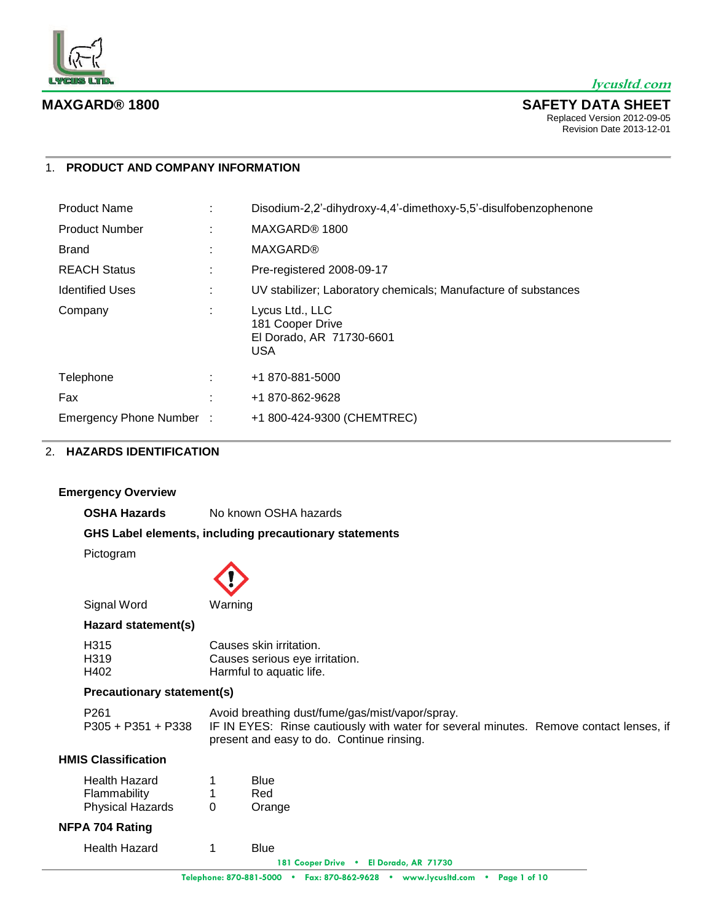

## 1. **PRODUCT AND COMPANY INFORMATION**

| <b>Product Name</b>      |   | Disodium-2,2'-dihydroxy-4,4'-dimethoxy-5,5'-disulfobenzophenone               |
|--------------------------|---|-------------------------------------------------------------------------------|
| <b>Product Number</b>    |   | MAXGARD® 1800                                                                 |
| <b>Brand</b>             | ÷ | <b>MAXGARD®</b>                                                               |
| <b>REACH Status</b>      |   | Pre-registered 2008-09-17                                                     |
| <b>Identified Uses</b>   | ÷ | UV stabilizer; Laboratory chemicals; Manufacture of substances                |
| Company                  | ÷ | Lycus Ltd., LLC<br>181 Cooper Drive<br>El Dorado, AR 71730-6601<br><b>USA</b> |
| Telephone                |   | +1 870-881-5000                                                               |
| Fax                      |   | +1 870-862-9628                                                               |
| Emergency Phone Number : |   | +1 800-424-9300 (CHEMTREC)                                                    |

# 2. **HAZARDS IDENTIFICATION**

# **Emergency Overview**

**OSHA Hazards** No known OSHA hazards

# **GHS Label elements, including precautionary statements**

Pictogram



Signal Word Warning

## **Hazard statement(s)**

| H315 | Causes skin irritation.        |
|------|--------------------------------|
| H319 | Causes serious eye irritation. |
| H402 | Harmful to aquatic life.       |

# **Precautionary statement(s)**

| P261 | Avoid breathing dust/fume/gas/mist/vapor/spray.                                                           |  |
|------|-----------------------------------------------------------------------------------------------------------|--|
|      | P305 + P351 + P338 IF IN EYES: Rinse cautiously with water for several minutes. Remove contact lenses, if |  |
|      | present and easy to do. Continue rinsing.                                                                 |  |

# **HMIS Classification**

| <b>Health Hazard</b>    |   | Blue   |
|-------------------------|---|--------|
| Flammability            |   | Red    |
| <b>Physical Hazards</b> | 0 | Orange |

# **NFPA 704 Rating**

| <b>Health Hazard</b> |  | <b>Blue</b> |
|----------------------|--|-------------|
|----------------------|--|-------------|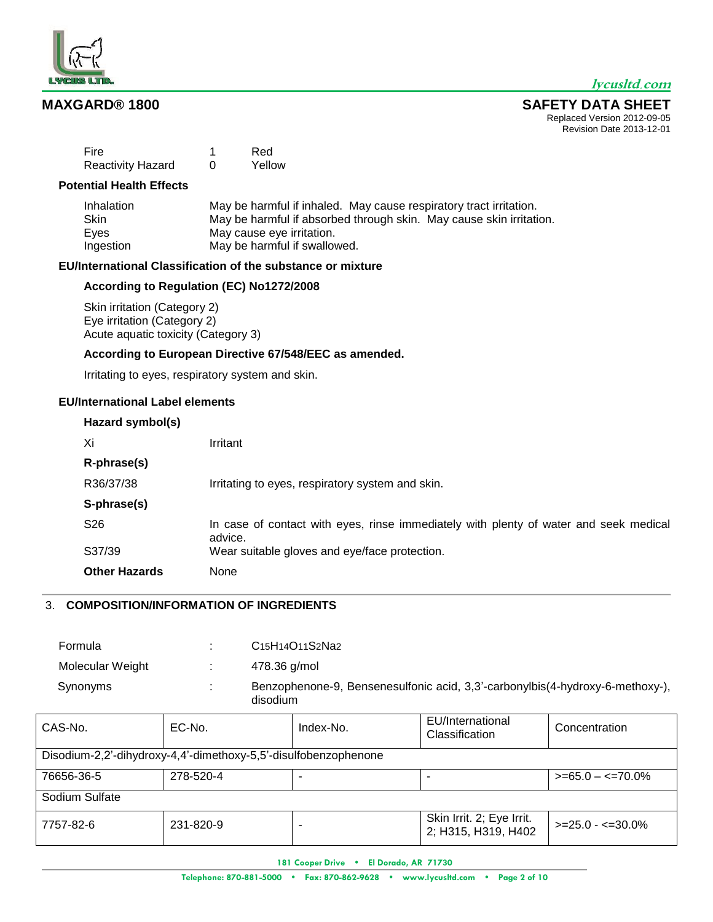

#### **MAXGARD® 1800 SAFETY DATA SHEET** Replaced Version 2012-09-05

T

Revision Date 2013-12-01

| Fire                     | Red    |
|--------------------------|--------|
| <b>Reactivity Hazard</b> | Yellow |

## **Potential Health Effects**

| Inhalation  | May be harmful if inhaled. May cause respiratory tract irritation.  |
|-------------|---------------------------------------------------------------------|
| <b>Skin</b> | May be harmful if absorbed through skin. May cause skin irritation. |
| Eves        | May cause eye irritation.                                           |
| Ingestion   | May be harmful if swallowed.                                        |

# **EU/International Classification of the substance or mixture**

# **According to Regulation (EC) No1272/2008**

Skin irritation (Category 2) Eye irritation (Category 2) Acute aquatic toxicity (Category 3)

## **According to European Directive 67/548/EEC as amended.**

Irritating to eyes, respiratory system and skin.

# **EU/International Label elements**

| Hazard symbol(s)     |                                                                                                  |
|----------------------|--------------------------------------------------------------------------------------------------|
| Xi                   | Irritant                                                                                         |
| R-phrase(s)          |                                                                                                  |
| R36/37/38            | Irritating to eyes, respiratory system and skin.                                                 |
| S-phrase(s)          |                                                                                                  |
| S <sub>26</sub>      | In case of contact with eyes, rinse immediately with plenty of water and seek medical<br>advice. |
| S37/39               | Wear suitable gloves and eye/face protection.                                                    |
| <b>Other Hazards</b> | None                                                                                             |

# 3. **COMPOSITION/INFORMATION OF INGREDIENTS**

| Formula          | ٠.           | C <sub>15</sub> H <sub>14</sub> O <sub>11</sub> S <sub>2</sub> Na <sub>2</sub>            |
|------------------|--------------|-------------------------------------------------------------------------------------------|
| Molecular Weight |              | 478.36 g/mol                                                                              |
| Synonyms         | $\mathbf{r}$ | Benzophenone-9, Bensenesulfonic acid, 3,3'-carbonylbis(4-hydroxy-6-methoxy-),<br>disodium |

| CAS-No.                                                         | EC-No.    | Index-No. | EU/International<br>Classification               | Concentration          |
|-----------------------------------------------------------------|-----------|-----------|--------------------------------------------------|------------------------|
| Disodium-2,2'-dihydroxy-4,4'-dimethoxy-5,5'-disulfobenzophenone |           |           |                                                  |                        |
| 76656-36-5                                                      | 278-520-4 |           |                                                  | $>= 65.0 - < = 70.0\%$ |
| Sodium Sulfate                                                  |           |           |                                                  |                        |
| 7757-82-6                                                       | 231-820-9 |           | Skin Irrit. 2; Eye Irrit.<br>2; H315, H319, H402 | $>=25.0 - 50.0\%$      |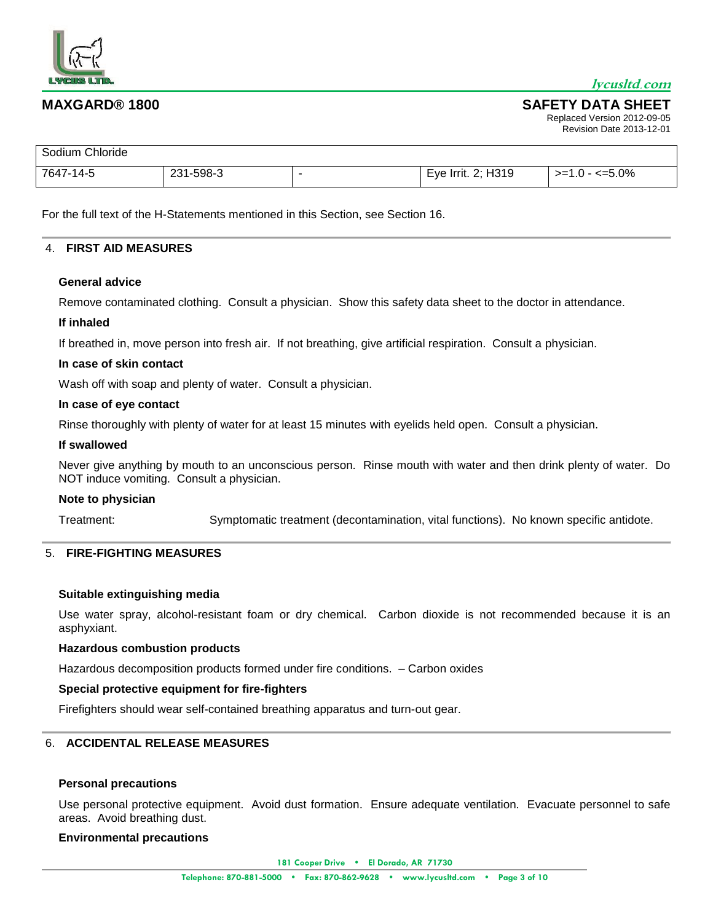

#### **MAXGARD® 1800 SAFETY DATA SHEET** Replaced Version 2012-09-05 Revision Date 2013-12-01

| Sodium Chloride |           |                    |                 |
|-----------------|-----------|--------------------|-----------------|
| 7647-14-5       | 231-598-3 | Eye Irrit. 2; H319 | $>=1.0 - 5.0\%$ |

For the full text of the H-Statements mentioned in this Section, see Section 16.

#### 4. **FIRST AID MEASURES**

#### **General advice**

Remove contaminated clothing. Consult a physician. Show this safety data sheet to the doctor in attendance.

## **If inhaled**

If breathed in, move person into fresh air. If not breathing, give artificial respiration. Consult a physician.

#### **In case of skin contact**

Wash off with soap and plenty of water. Consult a physician.

#### **In case of eye contact**

Rinse thoroughly with plenty of water for at least 15 minutes with eyelids held open. Consult a physician.

#### **If swallowed**

Never give anything by mouth to an unconscious person. Rinse mouth with water and then drink plenty of water. Do NOT induce vomiting. Consult a physician.

#### **Note to physician**

Treatment: Symptomatic treatment (decontamination, vital functions). No known specific antidote.

## 5. **FIRE-FIGHTING MEASURES**

#### **Suitable extinguishing media**

Use water spray, alcohol-resistant foam or dry chemical. Carbon dioxide is not recommended because it is an asphyxiant.

## **Hazardous combustion products**

Hazardous decomposition products formed under fire conditions. – Carbon oxides

## **Special protective equipment for fire-fighters**

Firefighters should wear self-contained breathing apparatus and turn-out gear.

# 6. **ACCIDENTAL RELEASE MEASURES**

## **Personal precautions**

Use personal protective equipment. Avoid dust formation. Ensure adequate ventilation. Evacuate personnel to safe areas. Avoid breathing dust.

#### **Environmental precautions**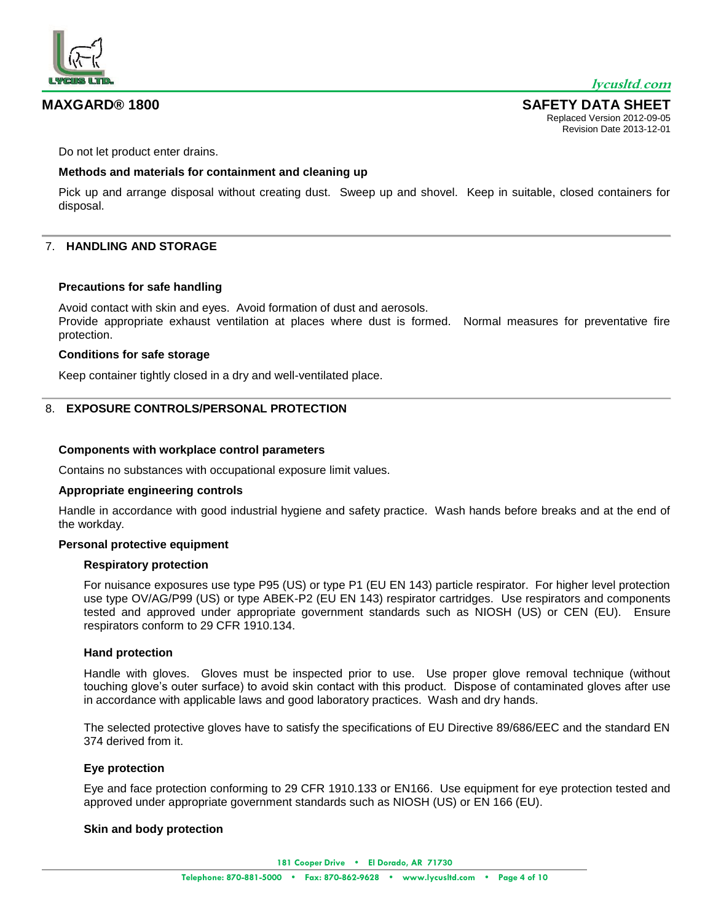

Do not let product enter drains.

## **Methods and materials for containment and cleaning up**

Pick up and arrange disposal without creating dust. Sweep up and shovel. Keep in suitable, closed containers for disposal.

# 7. **HANDLING AND STORAGE**

## **Precautions for safe handling**

Avoid contact with skin and eyes. Avoid formation of dust and aerosols. Provide appropriate exhaust ventilation at places where dust is formed. Normal measures for preventative fire protection.

#### **Conditions for safe storage**

Keep container tightly closed in a dry and well-ventilated place.

## 8. **EXPOSURE CONTROLS/PERSONAL PROTECTION**

#### **Components with workplace control parameters**

Contains no substances with occupational exposure limit values.

## **Appropriate engineering controls**

Handle in accordance with good industrial hygiene and safety practice. Wash hands before breaks and at the end of the workday.

## **Personal protective equipment**

#### **Respiratory protection**

For nuisance exposures use type P95 (US) or type P1 (EU EN 143) particle respirator. For higher level protection use type OV/AG/P99 (US) or type ABEK-P2 (EU EN 143) respirator cartridges. Use respirators and components tested and approved under appropriate government standards such as NIOSH (US) or CEN (EU). Ensure respirators conform to 29 CFR 1910.134.

## **Hand protection**

Handle with gloves. Gloves must be inspected prior to use. Use proper glove removal technique (without touching glove's outer surface) to avoid skin contact with this product. Dispose of contaminated gloves after use in accordance with applicable laws and good laboratory practices. Wash and dry hands.

The selected protective gloves have to satisfy the specifications of EU Directive 89/686/EEC and the standard EN 374 derived from it.

## **Eye protection**

Eye and face protection conforming to 29 CFR 1910.133 or EN166. Use equipment for eye protection tested and approved under appropriate government standards such as NIOSH (US) or EN 166 (EU).

## **Skin and body protection**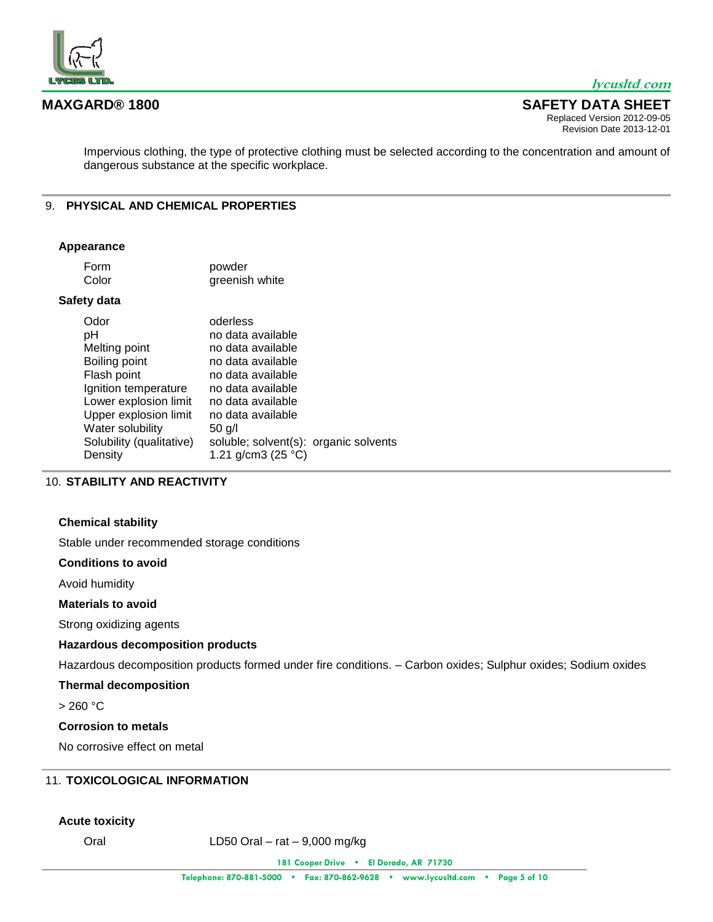

### **MAXGARD® 1800 SAFETY DATA SHEET** Replaced Version 2012-09-05

Revision Date 2013-12-01

Impervious clothing, the type of protective clothing must be selected according to the concentration and amount of dangerous substance at the specific workplace.

# 9. **PHYSICAL AND CHEMICAL PROPERTIES**

#### **Appearance**

| Form  | powder         |
|-------|----------------|
| Color | greenish white |

# **Safety data**

| Odor                     | oderless                              |  |
|--------------------------|---------------------------------------|--|
| рH                       | no data available                     |  |
| Melting point            | no data available                     |  |
| Boiling point            | no data available                     |  |
| Flash point              | no data available                     |  |
| Ignition temperature     | no data available                     |  |
| Lower explosion limit    | no data available                     |  |
| Upper explosion limit    | no data available                     |  |
| Water solubility         | 50 g/l                                |  |
| Solubility (qualitative) | soluble; solvent(s): organic solvents |  |
| Density                  | 1.21 g/cm3 (25 $^{\circ}$ C)          |  |
|                          |                                       |  |

# 10. **STABILITY AND REACTIVITY**

## **Chemical stability**

Stable under recommended storage conditions

#### **Conditions to avoid**

Avoid humidity

#### **Materials to avoid**

Strong oxidizing agents

## **Hazardous decomposition products**

Hazardous decomposition products formed under fire conditions. – Carbon oxides; Sulphur oxides; Sodium oxides

# **Thermal decomposition**

 $> 260 °C$ 

### **Corrosion to metals**

No corrosive effect on metal

# 11. **TOXICOLOGICAL INFORMATION**

#### **Acute toxicity**

Oral LD50 Oral – rat – 9,000 mg/kg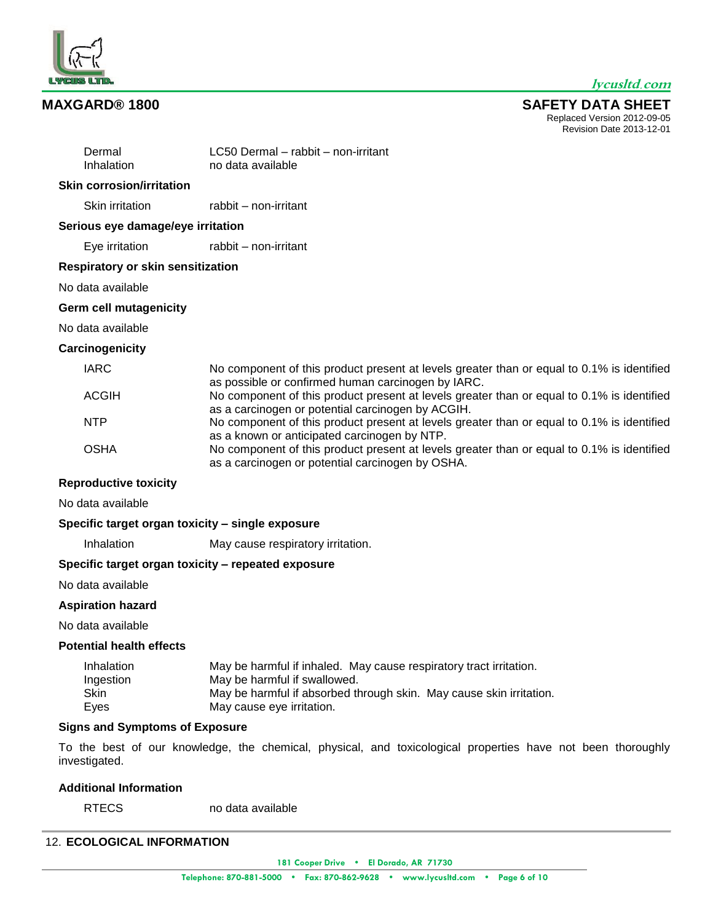

**MAXGARD® 1800 SAFETY DATA SHEET** Replaced Version 2012-09-05 Revision Date 2013-12-01

| Dermal<br>Inhalation                             | LC50 Dermal – rabbit – non-irritant<br>no data available                                                                                                                                               |
|--------------------------------------------------|--------------------------------------------------------------------------------------------------------------------------------------------------------------------------------------------------------|
| <b>Skin corrosion/irritation</b>                 |                                                                                                                                                                                                        |
| Skin irritation                                  | rabbit - non-irritant                                                                                                                                                                                  |
| Serious eye damage/eye irritation                |                                                                                                                                                                                                        |
| Eye irritation                                   | rabbit - non-irritant                                                                                                                                                                                  |
| <b>Respiratory or skin sensitization</b>         |                                                                                                                                                                                                        |
| No data available                                |                                                                                                                                                                                                        |
| <b>Germ cell mutagenicity</b>                    |                                                                                                                                                                                                        |
| No data available                                |                                                                                                                                                                                                        |
| Carcinogenicity                                  |                                                                                                                                                                                                        |
| <b>IARC</b>                                      | No component of this product present at levels greater than or equal to 0.1% is identified<br>as possible or confirmed human carcinogen by IARC.                                                       |
| <b>ACGIH</b>                                     | No component of this product present at levels greater than or equal to 0.1% is identified<br>as a carcinogen or potential carcinogen by ACGIH.                                                        |
| <b>NTP</b>                                       | No component of this product present at levels greater than or equal to 0.1% is identified<br>as a known or anticipated carcinogen by NTP.                                                             |
| <b>OSHA</b>                                      | No component of this product present at levels greater than or equal to 0.1% is identified<br>as a carcinogen or potential carcinogen by OSHA.                                                         |
| <b>Reproductive toxicity</b>                     |                                                                                                                                                                                                        |
| No data available                                |                                                                                                                                                                                                        |
| Specific target organ toxicity - single exposure |                                                                                                                                                                                                        |
| Inhalation                                       | May cause respiratory irritation.                                                                                                                                                                      |
|                                                  | Specific target organ toxicity - repeated exposure                                                                                                                                                     |
| No data available                                |                                                                                                                                                                                                        |
| <b>Aspiration hazard</b>                         |                                                                                                                                                                                                        |
| No data available                                |                                                                                                                                                                                                        |
| <b>Potential health effects</b>                  |                                                                                                                                                                                                        |
| Inhalation<br>Ingestion<br>Skin<br>Eyes          | May be harmful if inhaled. May cause respiratory tract irritation.<br>May be harmful if swallowed.<br>May be harmful if absorbed through skin. May cause skin irritation.<br>May cause eye irritation. |

#### **Signs and Symptoms of Exposure**

To the best of our knowledge, the chemical, physical, and toxicological properties have not been thoroughly investigated.

# **Additional Information**

RTECS no data available

# 12. **ECOLOGICAL INFORMATION**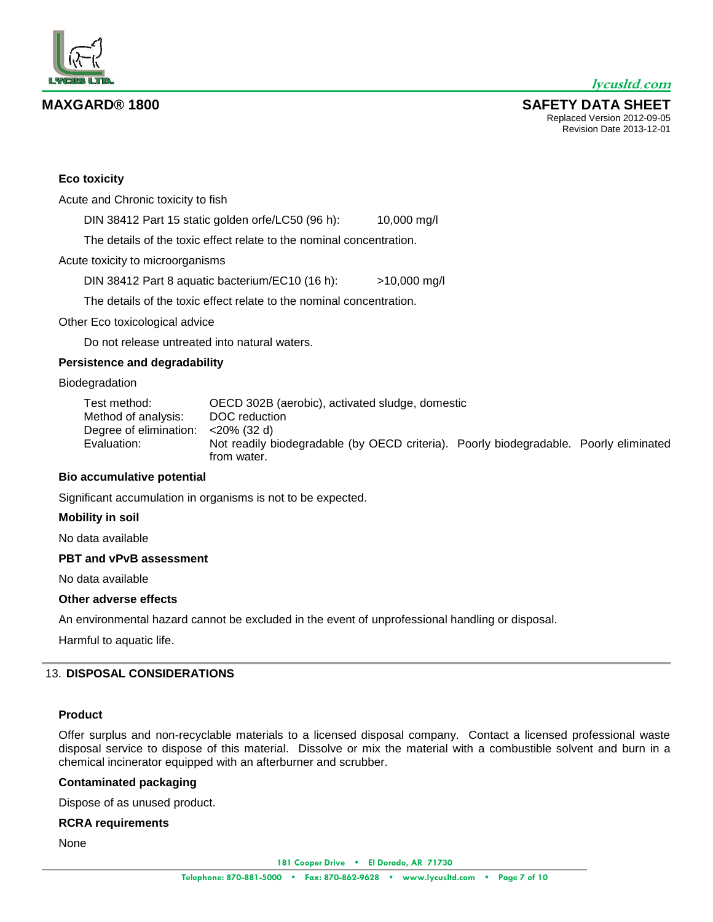

**MAXGARD® 1800 SAFETY DATA SHEET** Replaced Version 2012-09-05 Revision Date 2013-12-01



# **Eco toxicity**

Acute and Chronic toxicity to fish

DIN 38412 Part 15 static golden orfe/LC50 (96 h): 10,000 mg/l

The details of the toxic effect relate to the nominal concentration.

Acute toxicity to microorganisms

DIN 38412 Part 8 aquatic bacterium/EC10 (16 h): >10,000 mg/l

The details of the toxic effect relate to the nominal concentration.

Other Eco toxicological advice

Do not release untreated into natural waters.

## **Persistence and degradability**

#### Biodegradation

Test method: OECD 302B (aerobic), activated sludge, domestic Method of analysis: DOC reduction Degree of elimination: <20% (32 d) Evaluation: Not readily biodegradable (by OECD criteria). Poorly biodegradable. Poorly eliminated from water.

## **Bio accumulative potential**

Significant accumulation in organisms is not to be expected.

## **Mobility in soil**

No data available

## **PBT and vPvB assessment**

No data available

#### **Other adverse effects**

An environmental hazard cannot be excluded in the event of unprofessional handling or disposal.

Harmful to aquatic life.

## 13. **DISPOSAL CONSIDERATIONS**

## **Product**

Offer surplus and non-recyclable materials to a licensed disposal company. Contact a licensed professional waste disposal service to dispose of this material. Dissolve or mix the material with a combustible solvent and burn in a chemical incinerator equipped with an afterburner and scrubber.

## **Contaminated packaging**

Dispose of as unused product.

# **RCRA requirements**

None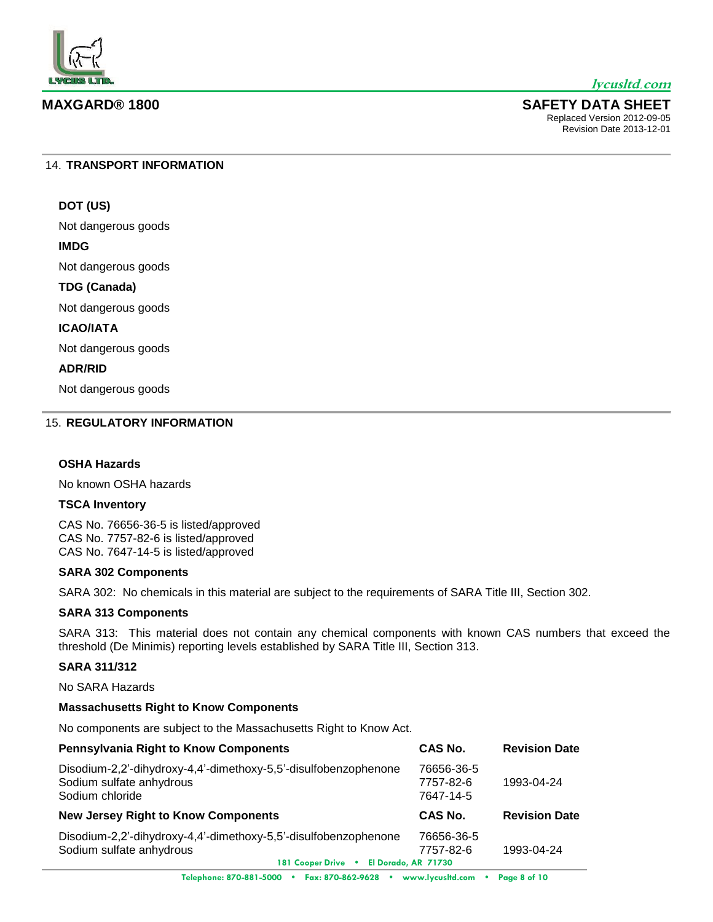

#### **MAXGARD® 1800 SAFETY DATA SHEET** Replaced Version 2012-09-05

Revision Date 2013-12-01

#### 14. **TRANSPORT INFORMATION**

# **DOT (US)**

Not dangerous goods

## **IMDG**

Not dangerous goods

#### **TDG (Canada)**

Not dangerous goods

# **ICAO/IATA**

Not dangerous goods

## **ADR/RID**

Not dangerous goods

# 15. **REGULATORY INFORMATION**

## **OSHA Hazards**

No known OSHA hazards

## **TSCA Inventory**

CAS No. 76656-36-5 is listed/approved CAS No. 7757-82-6 is listed/approved CAS No. 7647-14-5 is listed/approved

#### **SARA 302 Components**

SARA 302: No chemicals in this material are subject to the requirements of SARA Title III, Section 302.

#### **SARA 313 Components**

SARA 313: This material does not contain any chemical components with known CAS numbers that exceed the threshold (De Minimis) reporting levels established by SARA Title III, Section 313.

# **SARA 311/312**

No SARA Hazards

#### **Massachusetts Right to Know Components**

No components are subject to the Massachusetts Right to Know Act.

| <b>Pennsylvania Right to Know Components</b>                                                                                             | CAS No.                              | <b>Revision Date</b> |
|------------------------------------------------------------------------------------------------------------------------------------------|--------------------------------------|----------------------|
| Disodium-2,2'-dihydroxy-4,4'-dimethoxy-5,5'-disulfobenzophenone<br>Sodium sulfate anhydrous<br>Sodium chloride                           | 76656-36-5<br>7757-82-6<br>7647-14-5 | 1993-04-24           |
| <b>New Jersey Right to Know Components</b>                                                                                               | CAS No.                              | <b>Revision Date</b> |
| Disodium-2,2'-dihydroxy-4,4'-dimethoxy-5,5'-disulfobenzophenone<br>Sodium sulfate anhydrous<br>El Dorado, AR 71730<br>181 Cooper Drive . | 76656-36-5<br>7757-82-6              | 1993-04-24           |
| Telephone: 870 881 5000 + Eav: 870 869 8698 + uniquelysiated som + Page 8 of 10                                                          |                                      |                      |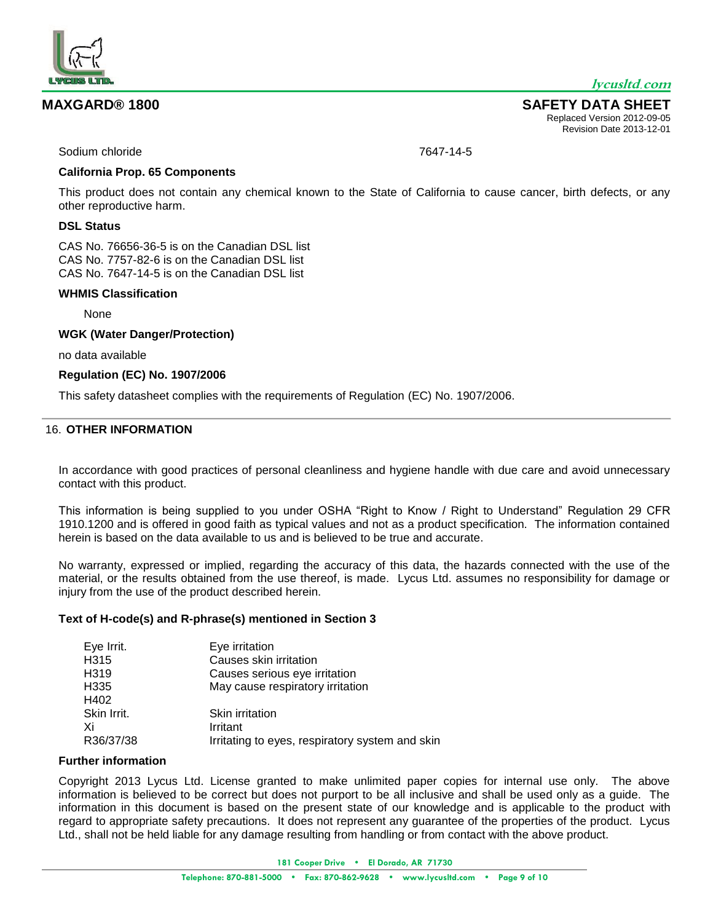

**MAXGARD® 1800 SAFETY DATA SHEET** Replaced Version 2012-09-05 Revision Date 2013-12-01

Sodium chloride 7647-14-5

## **California Prop. 65 Components**

This product does not contain any chemical known to the State of California to cause cancer, birth defects, or any other reproductive harm.

# **DSL Status**

CAS No. 76656-36-5 is on the Canadian DSL list CAS No. 7757-82-6 is on the Canadian DSL list CAS No. 7647-14-5 is on the Canadian DSL list

# **WHMIS Classification**

None

**WGK (Water Danger/Protection)**

no data available

#### **Regulation (EC) No. 1907/2006**

This safety datasheet complies with the requirements of Regulation (EC) No. 1907/2006.

# 16. **OTHER INFORMATION**

In accordance with good practices of personal cleanliness and hygiene handle with due care and avoid unnecessary contact with this product.

This information is being supplied to you under OSHA "Right to Know / Right to Understand" Regulation 29 CFR 1910.1200 and is offered in good faith as typical values and not as a product specification. The information contained herein is based on the data available to us and is believed to be true and accurate.

No warranty, expressed or implied, regarding the accuracy of this data, the hazards connected with the use of the material, or the results obtained from the use thereof, is made. Lycus Ltd. assumes no responsibility for damage or injury from the use of the product described herein.

#### **Text of H-code(s) and R-phrase(s) mentioned in Section 3**

| Eye Irrit.        | Eye irritation                                  |
|-------------------|-------------------------------------------------|
| H315              | Causes skin irritation                          |
| H <sub>3</sub> 19 | Causes serious eye irritation                   |
| H335              | May cause respiratory irritation                |
| H402              |                                                 |
| Skin Irrit.       | Skin irritation                                 |
| Xi                | Irritant                                        |
| R36/37/38         | Irritating to eyes, respiratory system and skin |

## **Further information**

Copyright 2013 Lycus Ltd. License granted to make unlimited paper copies for internal use only. The above information is believed to be correct but does not purport to be all inclusive and shall be used only as a guide. The information in this document is based on the present state of our knowledge and is applicable to the product with regard to appropriate safety precautions. It does not represent any guarantee of the properties of the product. Lycus Ltd., shall not be held liable for any damage resulting from handling or from contact with the above product.